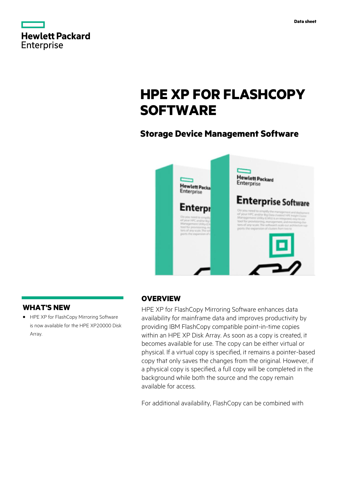|                   | <b>Hewlett Packard</b> |
|-------------------|------------------------|
| <b>Enterprise</b> |                        |

# **HPE XP FOR FLASHCOPY SOFTWARE**

# **Storage Device Management Software**



### **WHAT'S NEW**

**·** HPE XP for FlashCopy Mirroring Software is now available for the HPE XP20000 Disk Array.

### **OVERVIEW**

HPE XP for FlashCopy Mirroring Software enhances data availability for mainframe data and improves productivity by providing IBM FlashCopy compatible point-in-time copies within an HPE XP Disk Array. As soon as a copy is created, it becomes available for use. The copy can be either virtual or physical. If a virtual copy is specified, it remains a pointer-based copy that only saves the changes from the original. However, if a physical copy is specified, a full copy will be completed in the background while both the source and the copy remain available for access.

For additional availability, FlashCopy can be combined with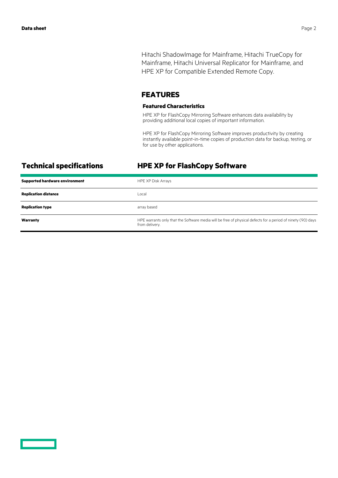Hitachi ShadowImage for Mainframe, Hitachi TrueCopy for Mainframe, Hitachi Universal Replicator for Mainframe, and HPE XP for Compatible Extended Remote Copy.

### **FEATURES**

### **Featured Characteristics**

HPE XP for FlashCopy Mirroring Software enhances data availability by providing additional local copies of important information.

HPE XP for FlashCopy Mirroring Software improves productivity by creating instantly available point-in-time copies of production data for backup, testing, or for use by other applications.

## **Technical specifications HPE XP for FlashCopy Software**

| <b>Supported hardware environment</b> | HPE XP Disk Arrays                                                                                                            |
|---------------------------------------|-------------------------------------------------------------------------------------------------------------------------------|
| <b>Replication distance</b>           | Local                                                                                                                         |
| <b>Replication type</b>               | array based                                                                                                                   |
| Warranty                              | HPE warrants only that the Software media will be free of physical defects for a period of ninety (90) days<br>from delivery. |